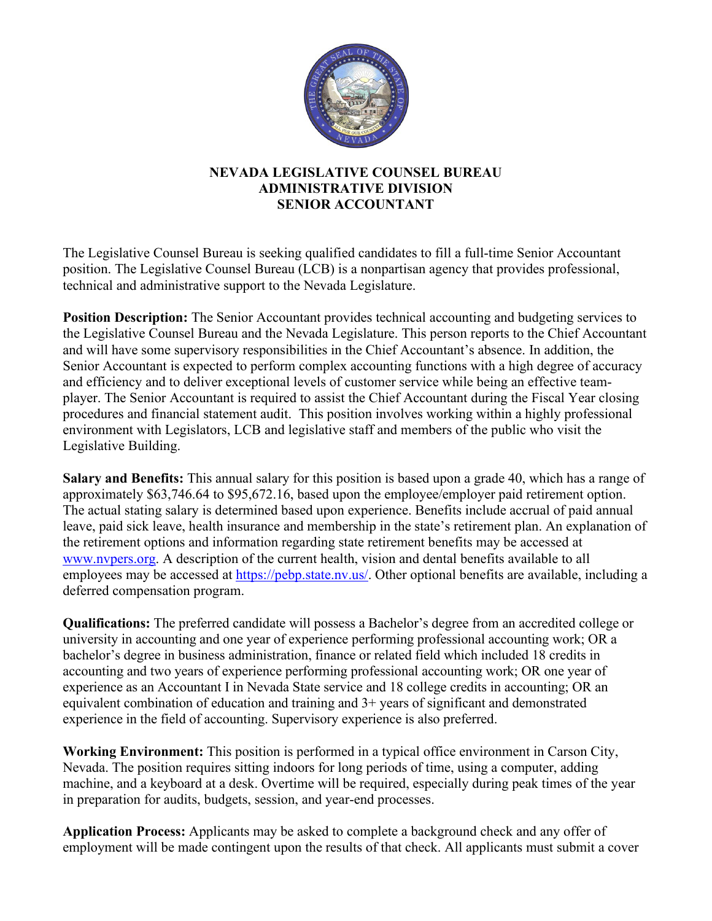

## **NEVADA LEGISLATIVE COUNSEL BUREAU ADMINISTRATIVE DIVISION SENIOR ACCOUNTANT**

The Legislative Counsel Bureau is seeking qualified candidates to fill a full-time Senior Accountant position. The Legislative Counsel Bureau (LCB) is a nonpartisan agency that provides professional, technical and administrative support to the Nevada Legislature.

**Position Description:** The Senior Accountant provides technical accounting and budgeting services to the Legislative Counsel Bureau and the Nevada Legislature. This person reports to the Chief Accountant and will have some supervisory responsibilities in the Chief Accountant's absence. In addition, the Senior Accountant is expected to perform complex accounting functions with a high degree of accuracy and efficiency and to deliver exceptional levels of customer service while being an effective teamplayer. The Senior Accountant is required to assist the Chief Accountant during the Fiscal Year closing procedures and financial statement audit. This position involves working within a highly professional environment with Legislators, LCB and legislative staff and members of the public who visit the Legislative Building.

**Salary and Benefits:** This annual salary for this position is based upon a grade 40, which has a range of approximately \$63,746.64 to \$95,672.16, based upon the employee/employer paid retirement option. The actual stating salary is determined based upon experience. Benefits include accrual of paid annual leave, paid sick leave, health insurance and membership in the state's retirement plan. An explanation of the retirement options and information regarding state retirement benefits may be accessed at [www.nvpers.org.](http://www.nvpers.org/) A description of the current health, vision and dental benefits available to all employees may be accessed at [https://pebp.state.nv.us/.](https://pebp.state.nv.us/) Other optional benefits are available, including a deferred compensation program.

**Qualifications:** The preferred candidate will possess a Bachelor's degree from an accredited college or university in accounting and one year of experience performing professional accounting work; OR a bachelor's degree in business administration, finance or related field which included 18 credits in accounting and two years of experience performing professional accounting work; OR one year of experience as an Accountant I in Nevada State service and 18 college credits in accounting; OR an equivalent combination of education and training and 3+ years of significant and demonstrated experience in the field of accounting. Supervisory experience is also preferred.

**Working Environment:** This position is performed in a typical office environment in Carson City, Nevada. The position requires sitting indoors for long periods of time, using a computer, adding machine, and a keyboard at a desk. Overtime will be required, especially during peak times of the year in preparation for audits, budgets, session, and year-end processes.

**Application Process:** Applicants may be asked to complete a background check and any offer of employment will be made contingent upon the results of that check. All applicants must submit a cover